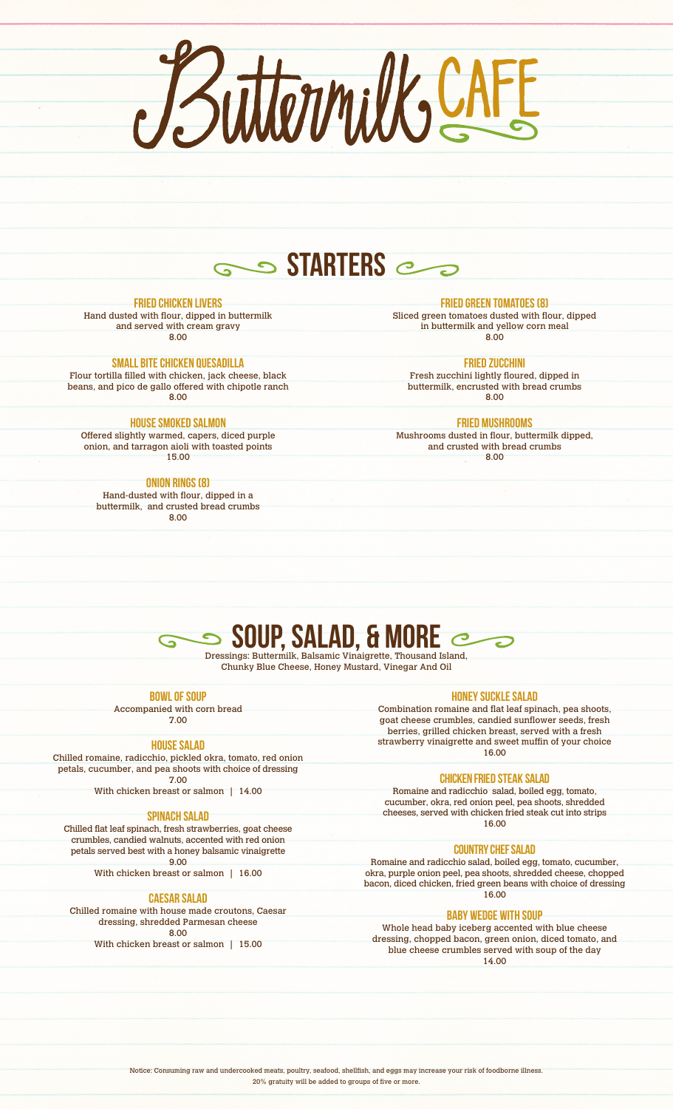ButtomilksCAFE

### **STARTERS**

#### FRIED CHICKEN LIVERS

Hand dusted with flour, dipped in buttermilk and served with cream gravy

8.00

#### SMALL BITE CHICKEN QUESADILLA

Flour tortilla filled with chicken, jack cheese, black beans, and pico de gallo offered with chipotle ranch 8.00

#### House Smoked Salmon

Offered slightly warmed, capers, diced purple onion, and tarragon aioli with toasted points 15.00

#### ONION RINGS (8)

Hand-dusted with flour, dipped in a buttermilk, and crusted bread crumbs 8.00

FRIED GREEN TOMATOES (8)

Sliced green tomatoes dusted with flour, dipped in buttermilk and yellow corn meal 8.00

#### FRIED ZUCCHINI

Fresh zucchini lightly floured, dipped in buttermilk, encrusted with bread crumbs 8.00

#### FRIED MUSHROOMS

Mushrooms dusted in flour, buttermilk dipped, and crusted with bread crumbs 8.00

# **SOUP, SALAD, & MORE**

Chunky Blue Cheese, Honey Mustard, Vinegar And Oil

| $\sim$ |  | __<br>$\sim$ |  |
|--------|--|--------------|--|

Accompanied with corn bread

#### 7.00

#### HOUSE SALAD

Chilled romaine, radicchio, pickled okra, tomato, red onion petals, cucumber, and pea shoots with choice of dressing 7.00

With chicken breast or salmon | 14.00

#### SPINACH SALAD

Chilled flat leaf spinach, fresh strawberries, goat cheese crumbles, candied walnuts, accented with red onion petals served best with a honey balsamic vinaigrette 9.00

With chicken breast or salmon | 16.00

#### CAESAR SALAD

Chilled romaine with house made croutons, Caesar dressing, shredded Parmesan cheese 8.00

With chicken breast or salmon | 15.00

#### HONEY SUCKLE SALAD

Combination romaine and flat leaf spinach, pea shoots, goat cheese crumbles, candied sunflower seeds, fresh berries, grilled chicken breast, served with a fresh strawberry vinaigrette and sweet muffin of your choice 16.00

#### CHICKEN FRIED STEAK SALAD

Romaine and radicchio salad, boiled egg, tomato, cucumber, okra, red onion peel, pea shoots, shredded cheeses, served with chicken fried steak cut into strips 16.00

#### Country Chef salad

Romaine and radicchio salad, boiled egg, tomato, cucumber, okra, purple onion peel, pea shoots, shredded cheese, chopped bacon, diced chicken, fried green beans with choice of dressing 16.00

#### Baby wedge with soup

Whole head baby iceberg accented with blue cheese dressing, chopped bacon, green onion, diced tomato, and blue cheese crumbles served with soup of the day 14.00

Notice: Consuming raw and undercooked meats, poultry, seafood, shellfish, and eggs may increase your risk of foodborne illness. 20% gratuity will be added to groups of five or more.